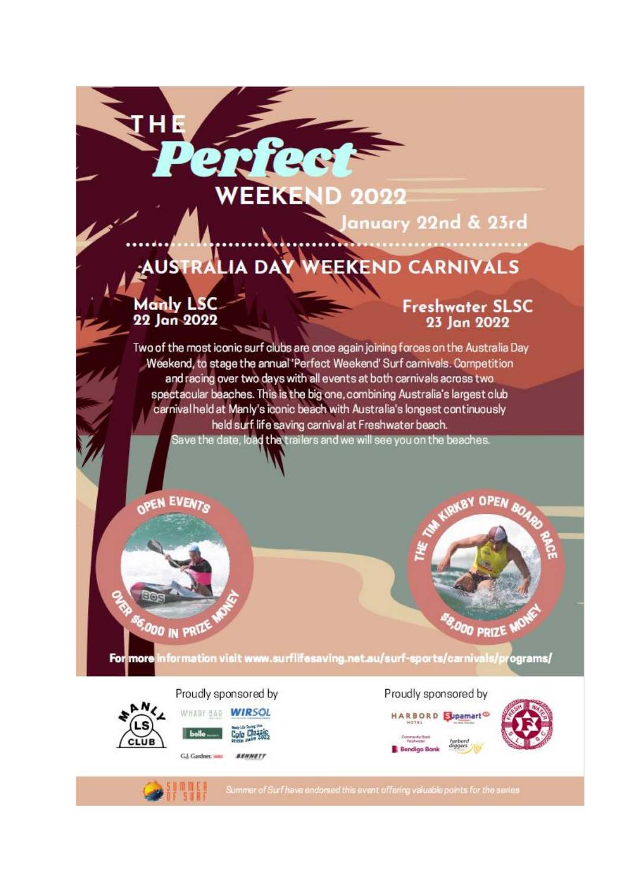### WEEKEN **JD 2022**

anuary 22nd & 23rd

# AUSTRALIA DAY WEEKEND CARNIVALS

**Manly LSC** 22 Jan 2022

'HE

# **Freshwater SLSC** 23 Jan 2022

Two of the most iconic surf clubs are once again joining forces on the Australia Day Weekend, to stage the annual 'Perfect Weekend' Surf carnivals. Competition and racing over two days with all events at both carnivals across two spectacular beaches. This is the big one, combining Australia's largest club carnival held at Manly's iconic beach with Australia's longest continuously held surf life saving carnival at Freshwater beach. Save the date, loa**d the** trailers and we will see you on the beaches.

**OEN EVENTS** 



For more information visit www.surflifesaving.net.au/surf-sports/carnivals/programs/

Proudly sponsored by



Blac

'<sup>6,0</sup>00 in Pr

WHARE BAR WIRSOL Colo Classis

G.I. Gardner. BENNETT Proudly sponsored by HARBORD Supamart



Summer of Surf have endorsed this event offering valuable points for the series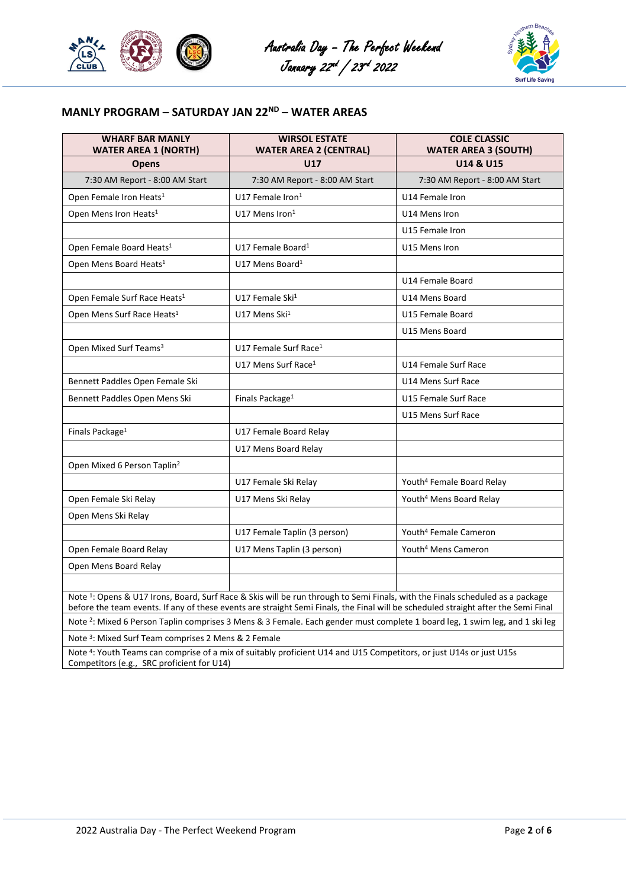





# **MANLY PROGRAM – SATURDAY JAN 22ND – WATER AREAS**

| <b>WHARF BAR MANLY</b><br><b>WATER AREA 1 (NORTH)</b>                                                                                                                                                                                                                           | <b>WIRSOL ESTATE</b><br><b>WATER AREA 2 (CENTRAL)</b> | <b>COLE CLASSIC</b><br><b>WATER AREA 3 (SOUTH)</b> |  |
|---------------------------------------------------------------------------------------------------------------------------------------------------------------------------------------------------------------------------------------------------------------------------------|-------------------------------------------------------|----------------------------------------------------|--|
| <b>Opens</b>                                                                                                                                                                                                                                                                    | <b>U17</b>                                            | U14 & U15                                          |  |
| 7:30 AM Report - 8:00 AM Start                                                                                                                                                                                                                                                  | 7:30 AM Report - 8:00 AM Start                        | 7:30 AM Report - 8:00 AM Start                     |  |
| Open Female Iron Heats <sup>1</sup>                                                                                                                                                                                                                                             | U17 Female Iron <sup>1</sup>                          | U14 Female Iron                                    |  |
| Open Mens Iron Heats <sup>1</sup>                                                                                                                                                                                                                                               | U17 Mens Iron <sup>1</sup>                            | U14 Mens Iron                                      |  |
|                                                                                                                                                                                                                                                                                 |                                                       | U15 Female Iron                                    |  |
| Open Female Board Heats <sup>1</sup>                                                                                                                                                                                                                                            | U17 Female Board <sup>1</sup>                         | U15 Mens Iron                                      |  |
| Open Mens Board Heats <sup>1</sup>                                                                                                                                                                                                                                              | U17 Mens Board <sup>1</sup>                           |                                                    |  |
|                                                                                                                                                                                                                                                                                 |                                                       | U14 Female Board                                   |  |
| Open Female Surf Race Heats <sup>1</sup>                                                                                                                                                                                                                                        | U17 Female Ski <sup>1</sup>                           | U14 Mens Board                                     |  |
| Open Mens Surf Race Heats <sup>1</sup>                                                                                                                                                                                                                                          | U17 Mens Ski <sup>1</sup>                             | U15 Female Board                                   |  |
|                                                                                                                                                                                                                                                                                 |                                                       | U15 Mens Board                                     |  |
| Open Mixed Surf Teams <sup>3</sup>                                                                                                                                                                                                                                              | U17 Female Surf Race <sup>1</sup>                     |                                                    |  |
|                                                                                                                                                                                                                                                                                 | U17 Mens Surf Race <sup>1</sup>                       | U14 Female Surf Race                               |  |
| Bennett Paddles Open Female Ski                                                                                                                                                                                                                                                 |                                                       | U14 Mens Surf Race                                 |  |
| Bennett Paddles Open Mens Ski                                                                                                                                                                                                                                                   | Finals Package <sup>1</sup>                           | U15 Female Surf Race                               |  |
|                                                                                                                                                                                                                                                                                 |                                                       | U15 Mens Surf Race                                 |  |
| Finals Package <sup>1</sup>                                                                                                                                                                                                                                                     | U17 Female Board Relay                                |                                                    |  |
|                                                                                                                                                                                                                                                                                 | U17 Mens Board Relay                                  |                                                    |  |
| Open Mixed 6 Person Taplin <sup>2</sup>                                                                                                                                                                                                                                         |                                                       |                                                    |  |
|                                                                                                                                                                                                                                                                                 | U17 Female Ski Relay                                  | Youth <sup>4</sup> Female Board Relay              |  |
| Open Female Ski Relay                                                                                                                                                                                                                                                           | U17 Mens Ski Relay                                    | Youth <sup>4</sup> Mens Board Relay                |  |
| Open Mens Ski Relay                                                                                                                                                                                                                                                             |                                                       |                                                    |  |
|                                                                                                                                                                                                                                                                                 | U17 Female Taplin (3 person)                          | Youth <sup>4</sup> Female Cameron                  |  |
| Open Female Board Relay                                                                                                                                                                                                                                                         | U17 Mens Taplin (3 person)                            | Youth <sup>4</sup> Mens Cameron                    |  |
| Open Mens Board Relay                                                                                                                                                                                                                                                           |                                                       |                                                    |  |
|                                                                                                                                                                                                                                                                                 |                                                       |                                                    |  |
| Note <sup>1</sup> : Opens & U17 Irons, Board, Surf Race & Skis will be run through to Semi Finals, with the Finals scheduled as a package<br>before the team events. If any of these events are straight Semi Finals, the Final will be scheduled straight after the Semi Final |                                                       |                                                    |  |
| Note <sup>2</sup> : Mixed 6 Person Taplin comprises 3 Mens & 3 Female. Each gender must complete 1 board leg, 1 swim leg, and 1 ski leg                                                                                                                                         |                                                       |                                                    |  |
| Note <sup>3</sup> : Mixed Surf Team comprises 2 Mens & 2 Female                                                                                                                                                                                                                 |                                                       |                                                    |  |
|                                                                                                                                                                                                                                                                                 |                                                       |                                                    |  |

Note <sup>4</sup> : Youth Teams can comprise of a mix of suitably proficient U14 and U15 Competitors, or just U14s or just U15s Competitors (e.g., SRC proficient for U14)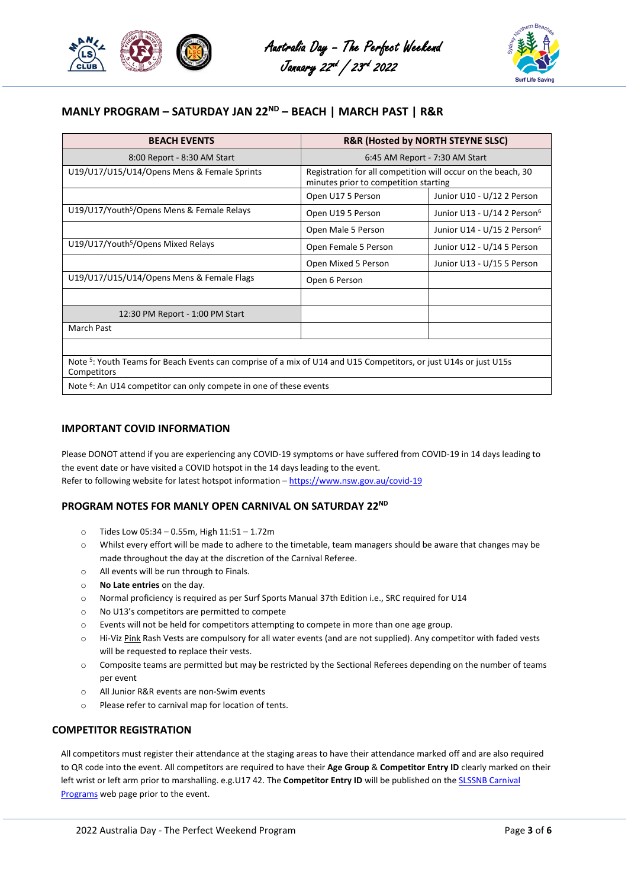



## **MANLY PROGRAM – SATURDAY JAN 22ND – BEACH | MARCH PAST | R&R**

| <b>BEACH EVENTS</b>                                                                                                                         | R&R (Hosted by NORTH STEYNE SLSC)                                                                     |                                         |  |
|---------------------------------------------------------------------------------------------------------------------------------------------|-------------------------------------------------------------------------------------------------------|-----------------------------------------|--|
| 8:00 Report - 8:30 AM Start                                                                                                                 | 6:45 AM Report - 7:30 AM Start                                                                        |                                         |  |
| U19/U17/U15/U14/Opens Mens & Female Sprints                                                                                                 | Registration for all competition will occur on the beach, 30<br>minutes prior to competition starting |                                         |  |
|                                                                                                                                             | Open U17 5 Person                                                                                     | Junior U10 - U/12 2 Person              |  |
| U19/U17/Youth <sup>5</sup> /Opens Mens & Female Relays                                                                                      | Open U19 5 Person                                                                                     | Junior U13 - U/14 2 Person <sup>6</sup> |  |
|                                                                                                                                             | Open Male 5 Person                                                                                    | Junior U14 - U/15 2 Person <sup>6</sup> |  |
| U19/U17/Youth <sup>5</sup> /Opens Mixed Relays                                                                                              | Open Female 5 Person                                                                                  | Junior U12 - U/14 5 Person              |  |
|                                                                                                                                             | Open Mixed 5 Person                                                                                   | Junior U13 - U/15 5 Person              |  |
| U19/U17/U15/U14/Opens Mens & Female Flags                                                                                                   | Open 6 Person                                                                                         |                                         |  |
|                                                                                                                                             |                                                                                                       |                                         |  |
| 12:30 PM Report - 1:00 PM Start                                                                                                             |                                                                                                       |                                         |  |
| <b>March Past</b>                                                                                                                           |                                                                                                       |                                         |  |
|                                                                                                                                             |                                                                                                       |                                         |  |
| Note <sup>5</sup> : Youth Teams for Beach Events can comprise of a mix of U14 and U15 Competitors, or just U14s or just U15s<br>Competitors |                                                                                                       |                                         |  |

Note <sup>6</sup>: An U14 competitor can only compete in one of these events

### **IMPORTANT COVID INFORMATION**

Please DONOT attend if you are experiencing any COVID-19 symptoms or have suffered from COVID-19 in 14 days leading to the event date or have visited a COVID hotspot in the 14 days leading to the event. Refer to following website for latest hotspot information – <https://www.nsw.gov.au/covid-19>

### **PROGRAM NOTES FOR MANLY OPEN CARNIVAL ON SATURDAY 22ND**

- o Tides Low 05:34 0.55m, High 11:51 1.72m
- o Whilst every effort will be made to adhere to the timetable, team managers should be aware that changes may be made throughout the day at the discretion of the Carnival Referee.
- o All events will be run through to Finals.
- o **No Late entries** on the day.
- o Normal proficiency is required as per Surf Sports Manual 37th Edition i.e., SRC required for U14
- o No U13's competitors are permitted to compete
- o Events will not be held for competitors attempting to compete in more than one age group.
- o Hi-Viz Pink Rash Vests are compulsory for all water events (and are not supplied). Any competitor with faded vests will be requested to replace their vests.
- o Composite teams are permitted but may be restricted by the Sectional Referees depending on the number of teams per event
- o All Junior R&R events are non-Swim events
- o Please refer to carnival map for location of tents.

### **COMPETITOR REGISTRATION**

All competitors must register their attendance at the staging areas to have their attendance marked off and are also required to QR code into the event. All competitors are required to have their **Age Group** & **Competitor Entry ID** clearly marked on their left wrist or left arm prior to marshalling. e.g.U17 42. The **Competitor Entry ID** will be published on th[e SLSSNB Carnival](https://www.surflifesaving.net.au/surf-sports/carnivals/programs/)  [Programs](https://www.surflifesaving.net.au/surf-sports/carnivals/programs/) web page prior to the event.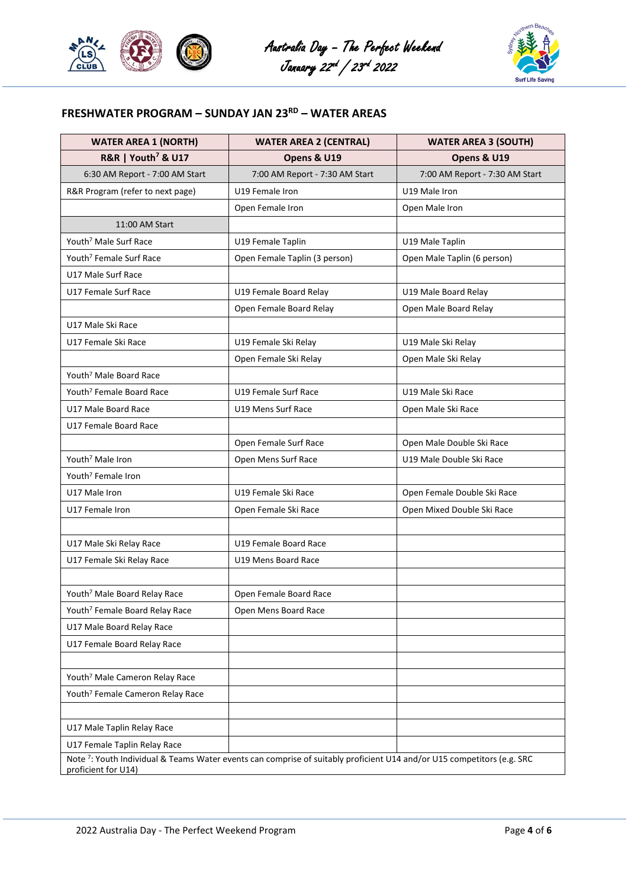





# **FRESHWATER PROGRAM – SUNDAY JAN 23RD – WATER AREAS**

| <b>WATER AREA 1 (NORTH)</b>                  | <b>WATER AREA 2 (CENTRAL)</b>                                                                                          | <b>WATER AREA 3 (SOUTH)</b>    |  |
|----------------------------------------------|------------------------------------------------------------------------------------------------------------------------|--------------------------------|--|
| <b>R&amp;R   Youth<sup>7</sup> &amp; U17</b> | Opens & U19                                                                                                            | Opens & U19                    |  |
| 6:30 AM Report - 7:00 AM Start               | 7:00 AM Report - 7:30 AM Start                                                                                         | 7:00 AM Report - 7:30 AM Start |  |
| R&R Program (refer to next page)             | U19 Female Iron                                                                                                        | U19 Male Iron                  |  |
|                                              | Open Female Iron                                                                                                       | Open Male Iron                 |  |
| 11:00 AM Start                               |                                                                                                                        |                                |  |
| Youth <sup>7</sup> Male Surf Race            | U19 Female Taplin                                                                                                      | U19 Male Taplin                |  |
| Youth <sup>7</sup> Female Surf Race          | Open Female Taplin (3 person)                                                                                          | Open Male Taplin (6 person)    |  |
| U17 Male Surf Race                           |                                                                                                                        |                                |  |
| U17 Female Surf Race                         | U19 Female Board Relay                                                                                                 | U19 Male Board Relay           |  |
|                                              | Open Female Board Relay                                                                                                | Open Male Board Relay          |  |
| U17 Male Ski Race                            |                                                                                                                        |                                |  |
| U17 Female Ski Race                          | U19 Female Ski Relay                                                                                                   | U19 Male Ski Relay             |  |
|                                              | Open Female Ski Relay                                                                                                  | Open Male Ski Relay            |  |
| Youth <sup>7</sup> Male Board Race           |                                                                                                                        |                                |  |
| Youth <sup>7</sup> Female Board Race         | U19 Female Surf Race                                                                                                   | U19 Male Ski Race              |  |
| U17 Male Board Race                          | U19 Mens Surf Race                                                                                                     | Open Male Ski Race             |  |
| U17 Female Board Race                        |                                                                                                                        |                                |  |
|                                              | Open Female Surf Race                                                                                                  | Open Male Double Ski Race      |  |
| Youth <sup>7</sup> Male Iron                 | Open Mens Surf Race                                                                                                    | U19 Male Double Ski Race       |  |
| Youth <sup>7</sup> Female Iron               |                                                                                                                        |                                |  |
| U17 Male Iron                                | U19 Female Ski Race                                                                                                    | Open Female Double Ski Race    |  |
| U17 Female Iron                              | Open Female Ski Race                                                                                                   | Open Mixed Double Ski Race     |  |
|                                              |                                                                                                                        |                                |  |
| U17 Male Ski Relay Race                      | U19 Female Board Race                                                                                                  |                                |  |
| U17 Female Ski Relay Race                    | U19 Mens Board Race                                                                                                    |                                |  |
|                                              |                                                                                                                        |                                |  |
| Youth <sup>7</sup> Male Board Relay Race     | Open Female Board Race                                                                                                 |                                |  |
| Youth <sup>7</sup> Female Board Relay Race   | Open Mens Board Race                                                                                                   |                                |  |
| U17 Male Board Relay Race                    |                                                                                                                        |                                |  |
| U17 Female Board Relay Race                  |                                                                                                                        |                                |  |
|                                              |                                                                                                                        |                                |  |
| Youth <sup>7</sup> Male Cameron Relay Race   |                                                                                                                        |                                |  |
| Youth <sup>7</sup> Female Cameron Relay Race |                                                                                                                        |                                |  |
|                                              |                                                                                                                        |                                |  |
| U17 Male Taplin Relay Race                   |                                                                                                                        |                                |  |
| U17 Female Taplin Relay Race                 |                                                                                                                        |                                |  |
| proficient for U14)                          | Note 7: Youth Individual & Teams Water events can comprise of suitably proficient U14 and/or U15 competitors (e.g. SRC |                                |  |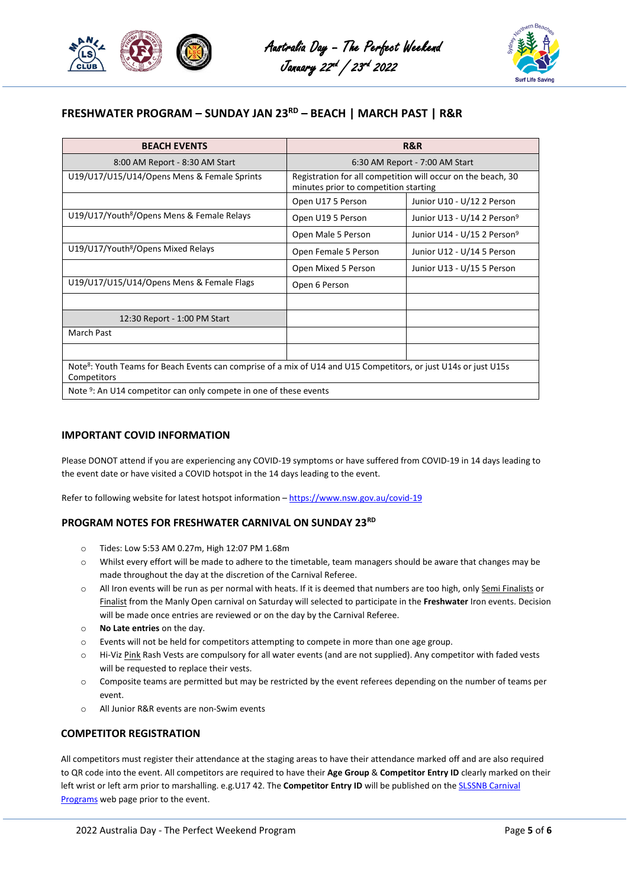



# **FRESHWATER PROGRAM – SUNDAY JAN 23RD – BEACH | MARCH PAST | R&R**

| <b>BEACH EVENTS</b>                                                                                                                         | R&R                                                                                                   |                                         |  |
|---------------------------------------------------------------------------------------------------------------------------------------------|-------------------------------------------------------------------------------------------------------|-----------------------------------------|--|
| 8:00 AM Report - 8:30 AM Start                                                                                                              | 6:30 AM Report - 7:00 AM Start                                                                        |                                         |  |
| U19/U17/U15/U14/Opens Mens & Female Sprints                                                                                                 | Registration for all competition will occur on the beach, 30<br>minutes prior to competition starting |                                         |  |
|                                                                                                                                             | Open U17 5 Person                                                                                     | Junior U10 - U/12 2 Person              |  |
| U19/U17/Youth <sup>8</sup> /Opens Mens & Female Relays                                                                                      | Open U19 5 Person                                                                                     | Junior U13 - U/14 2 Person <sup>9</sup> |  |
|                                                                                                                                             | Open Male 5 Person                                                                                    | Junior U14 - U/15 2 Person <sup>9</sup> |  |
| U19/U17/Youth <sup>8</sup> /Opens Mixed Relays                                                                                              | Open Female 5 Person                                                                                  | Junior U12 - U/14 5 Person              |  |
|                                                                                                                                             | Open Mixed 5 Person                                                                                   | Junior U13 - U/15 5 Person              |  |
| U19/U17/U15/U14/Opens Mens & Female Flags                                                                                                   | Open 6 Person                                                                                         |                                         |  |
|                                                                                                                                             |                                                                                                       |                                         |  |
| 12:30 Report - 1:00 PM Start                                                                                                                |                                                                                                       |                                         |  |
| <b>March Past</b>                                                                                                                           |                                                                                                       |                                         |  |
|                                                                                                                                             |                                                                                                       |                                         |  |
| Note <sup>8</sup> : Youth Teams for Beach Events can comprise of a mix of U14 and U15 Competitors, or just U14s or just U15s<br>Competitors |                                                                                                       |                                         |  |
| Note 9: An U14 compatitor can only compate in ano of these quants                                                                           |                                                                                                       |                                         |  |

Note <sup>9</sup>: An U14 competitor can only compete in one of these events

### **IMPORTANT COVID INFORMATION**

Please DONOT attend if you are experiencing any COVID-19 symptoms or have suffered from COVID-19 in 14 days leading to the event date or have visited a COVID hotspot in the 14 days leading to the event.

Refer to following website for latest hotspot information - <https://www.nsw.gov.au/covid-19>

### **PROGRAM NOTES FOR FRESHWATER CARNIVAL ON SUNDAY 23RD**

- o Tides: Low 5:53 AM 0.27m, High 12:07 PM 1.68m
- o Whilst every effort will be made to adhere to the timetable, team managers should be aware that changes may be made throughout the day at the discretion of the Carnival Referee.
- o All Iron events will be run as per normal with heats. If it is deemed that numbers are too high, only Semi Finalists or Finalist from the Manly Open carnival on Saturday will selected to participate in the **Freshwater** Iron events. Decision will be made once entries are reviewed or on the day by the Carnival Referee.
- o **No Late entries** on the day.
- o Events will not be held for competitors attempting to compete in more than one age group.
- o Hi-Viz Pink Rash Vests are compulsory for all water events (and are not supplied). Any competitor with faded vests will be requested to replace their vests.
- o Composite teams are permitted but may be restricted by the event referees depending on the number of teams per event.
- o All Junior R&R events are non-Swim events

### **COMPETITOR REGISTRATION**

All competitors must register their attendance at the staging areas to have their attendance marked off and are also required to QR code into the event. All competitors are required to have their **Age Group** & **Competitor Entry ID** clearly marked on their left wrist or left arm prior to marshalling. e.g.U17 42. The **Competitor Entry ID** will be published on the SLSSNB Carnival [Programs](https://www.surflifesaving.net.au/surf-sports/carnivals/programs/) web page prior to the event.